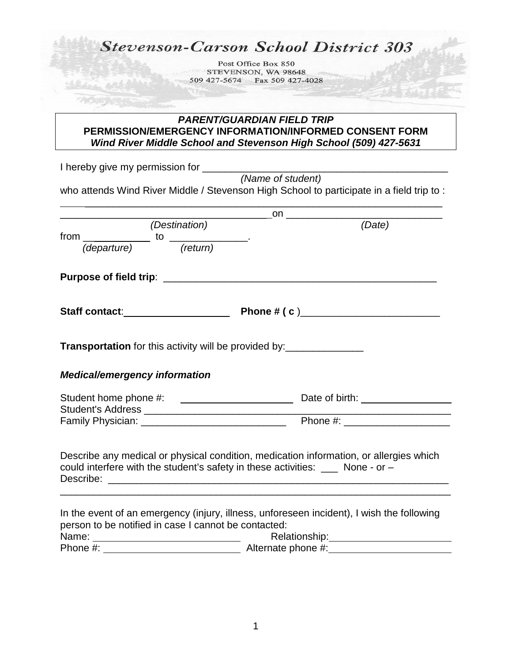## **Stevenson-Carson School District 303**

Post Office Box 850 STEVENSON, WA 98648 509 427-5674 Fax 509 427-4028

## *PARENT/GUARDIAN FIELD TRIP* **PERMISSION/EMERGENCY INFORMATION/INFORMED CONSENT FORM** *Wind River Middle School and Stevenson High School (509) 427-5631*

I hereby give my permission for *(Name of student)* who attends Wind River Middle / Stevenson High School to participate in a field trip to :

| <i>(Destination)</i>                                             | (Date)                                                                                                                                                                                                |
|------------------------------------------------------------------|-------------------------------------------------------------------------------------------------------------------------------------------------------------------------------------------------------|
| from $\frac{1}{(department)}$ to $\frac{1}{(return)}$ .          |                                                                                                                                                                                                       |
|                                                                  |                                                                                                                                                                                                       |
|                                                                  |                                                                                                                                                                                                       |
| <b>Transportation</b> for this activity will be provided by:<br> |                                                                                                                                                                                                       |
| <b>Medical/emergency information</b>                             |                                                                                                                                                                                                       |
|                                                                  |                                                                                                                                                                                                       |
|                                                                  |                                                                                                                                                                                                       |
|                                                                  | Describe any medical or physical condition, medication information, or allergies which<br>could interfere with the student's safety in these activities: $\frac{1}{\sqrt{1-\frac{1}{n}}}$ None - or - |
|                                                                  |                                                                                                                                                                                                       |
| person to be notified in case I cannot be contacted:             | In the event of an emergency (injury, illness, unforeseen incident), I wish the following                                                                                                             |
|                                                                  |                                                                                                                                                                                                       |